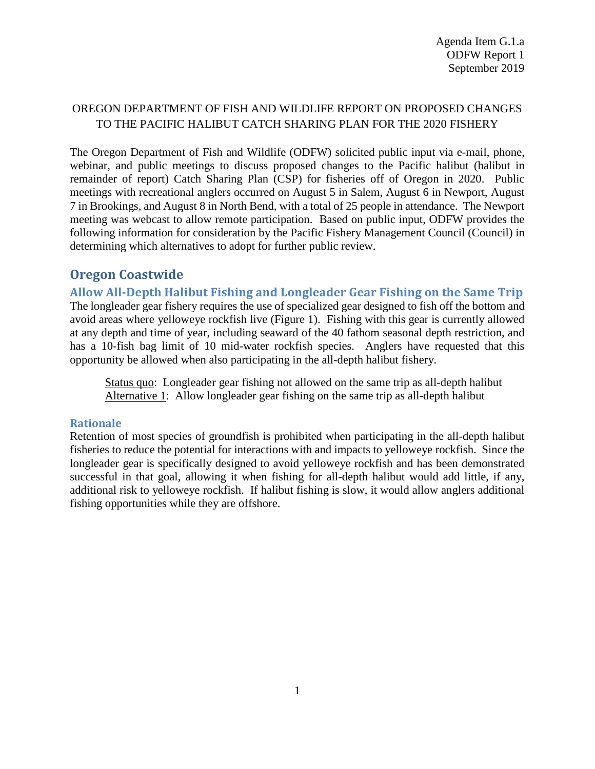## OREGON DEPARTMENT OF FISH AND WILDLIFE REPORT ON PROPOSED CHANGES TO THE PACIFIC HALIBUT CATCH SHARING PLAN FOR THE 2020 FISHERY

The Oregon Department of Fish and Wildlife (ODFW) solicited public input via e-mail, phone, webinar, and public meetings to discuss proposed changes to the Pacific halibut (halibut in remainder of report) Catch Sharing Plan (CSP) for fisheries off of Oregon in 2020. Public meetings with recreational anglers occurred on August 5 in Salem, August 6 in Newport, August 7 in Brookings, and August 8 in North Bend, with a total of 25 people in attendance. The Newport meeting was webcast to allow remote participation. Based on public input, ODFW provides the following information for consideration by the Pacific Fishery Management Council (Council) in determining which alternatives to adopt for further public review.

# **Oregon Coastwide**

**Allow All-Depth Halibut Fishing and Longleader Gear Fishing on the Same Trip** The longleader gear fishery requires the use of specialized gear designed to fish off the bottom and avoid areas where yelloweye rockfish live [\(Figure 1\)](#page-1-0). Fishing with this gear is currently allowed at any depth and time of year, including seaward of the 40 fathom seasonal depth restriction, and has a 10-fish bag limit of 10 mid-water rockfish species. Anglers have requested that this opportunity be allowed when also participating in the all-depth halibut fishery.

Status quo: Longleader gear fishing not allowed on the same trip as all-depth halibut Alternative 1: Allow longleader gear fishing on the same trip as all-depth halibut

## **Rationale**

Retention of most species of groundfish is prohibited when participating in the all-depth halibut fisheries to reduce the potential for interactions with and impacts to yelloweye rockfish. Since the longleader gear is specifically designed to avoid yelloweye rockfish and has been demonstrated successful in that goal, allowing it when fishing for all-depth halibut would add little, if any, additional risk to yelloweye rockfish. If halibut fishing is slow, it would allow anglers additional fishing opportunities while they are offshore.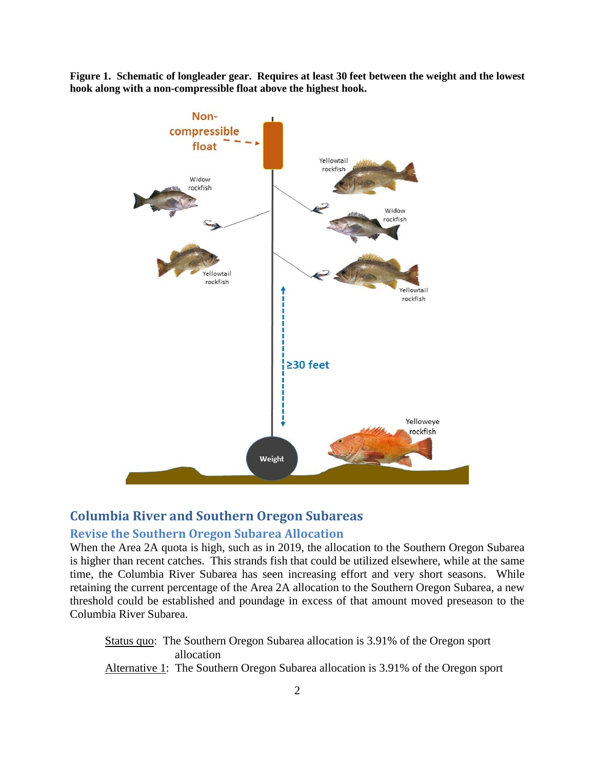<span id="page-1-0"></span>**Figure 1. Schematic of longleader gear. Requires at least 30 feet between the weight and the lowest hook along with a non-compressible float above the highest hook.**



## **Columbia River and Southern Oregon Subareas**

#### **Revise the Southern Oregon Subarea Allocation**

When the Area 2A quota is high, such as in 2019, the allocation to the Southern Oregon Subarea is higher than recent catches. This strands fish that could be utilized elsewhere, while at the same time, the Columbia River Subarea has seen increasing effort and very short seasons. While retaining the current percentage of the Area 2A allocation to the Southern Oregon Subarea, a new threshold could be established and poundage in excess of that amount moved preseason to the Columbia River Subarea.

Status quo: The Southern Oregon Subarea allocation is 3.91% of the Oregon sport allocation Alternative 1: The Southern Oregon Subarea allocation is 3.91% of the Oregon sport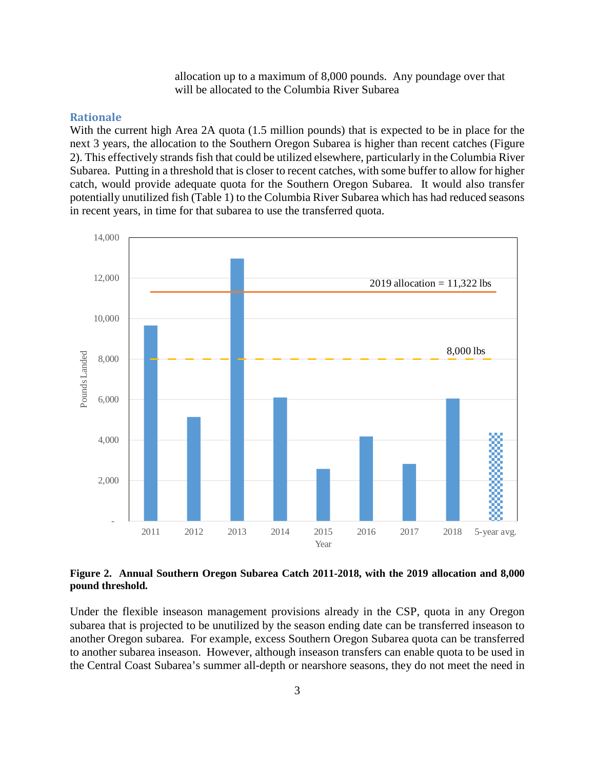allocation up to a maximum of 8,000 pounds. Any poundage over that will be allocated to the Columbia River Subarea

#### **Rationale**

With the current high Area 2A quota (1.5 million pounds) that is expected to be in place for the next 3 years, the allocation to the Southern Oregon Subarea is higher than recent catches [\(Figure](#page-2-0)  [2\)](#page-2-0). This effectively strands fish that could be utilized elsewhere, particularly in the Columbia River Subarea. Putting in a threshold that is closer to recent catches, with some buffer to allow for higher catch, would provide adequate quota for the Southern Oregon Subarea. It would also transfer potentially unutilized fish [\(Table 1\)](#page-3-0) to the Columbia River Subarea which has had reduced seasons in recent years, in time for that subarea to use the transferred quota.



<span id="page-2-0"></span>**Figure 2. Annual Southern Oregon Subarea Catch 2011-2018, with the 2019 allocation and 8,000 pound threshold.**

Under the flexible inseason management provisions already in the CSP, quota in any Oregon subarea that is projected to be unutilized by the season ending date can be transferred inseason to another Oregon subarea. For example, excess Southern Oregon Subarea quota can be transferred to another subarea inseason. However, although inseason transfers can enable quota to be used in the Central Coast Subarea's summer all-depth or nearshore seasons, they do not meet the need in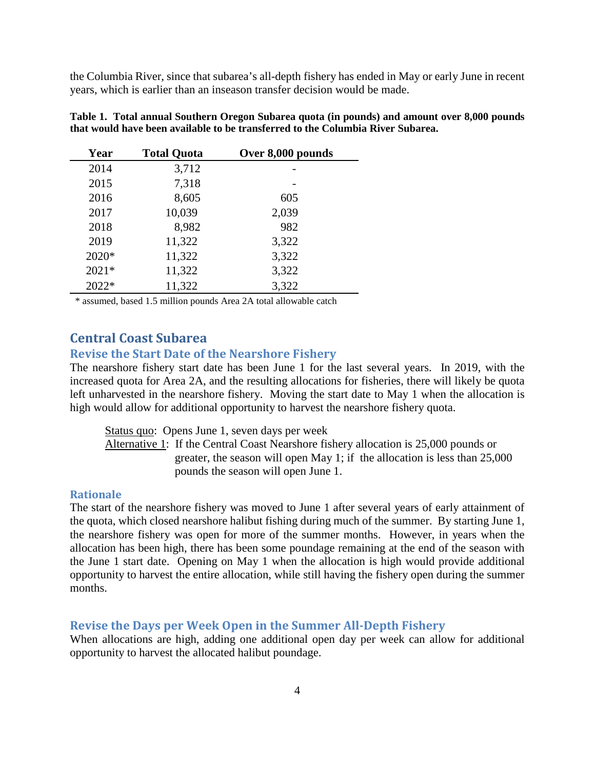the Columbia River, since that subarea's all-depth fishery has ended in May or early June in recent years, which is earlier than an inseason transfer decision would be made.

| Year  | <b>Total Quota</b> | Over 8,000 pounds |
|-------|--------------------|-------------------|
| 2014  | 3,712              |                   |
| 2015  | 7,318              |                   |
| 2016  | 8,605              | 605               |
| 2017  | 10,039             | 2,039             |
| 2018  | 8,982              | 982               |
| 2019  | 11,322             | 3,322             |
| 2020* | 11,322             | 3,322             |
| 2021* | 11,322             | 3,322             |
| 2022* | 11,322             | 3,322             |

<span id="page-3-0"></span>**Table 1. Total annual Southern Oregon Subarea quota (in pounds) and amount over 8,000 pounds that would have been available to be transferred to the Columbia River Subarea.**

\* assumed, based 1.5 million pounds Area 2A total allowable catch

## **Central Coast Subarea**

### **Revise the Start Date of the Nearshore Fishery**

The nearshore fishery start date has been June 1 for the last several years. In 2019, with the increased quota for Area 2A, and the resulting allocations for fisheries, there will likely be quota left unharvested in the nearshore fishery. Moving the start date to May 1 when the allocation is high would allow for additional opportunity to harvest the nearshore fishery quota.

Status quo: Opens June 1, seven days per week

Alternative 1: If the Central Coast Nearshore fishery allocation is 25,000 pounds or greater, the season will open May 1; if the allocation is less than 25,000 pounds the season will open June 1.

#### **Rationale**

The start of the nearshore fishery was moved to June 1 after several years of early attainment of the quota, which closed nearshore halibut fishing during much of the summer. By starting June 1, the nearshore fishery was open for more of the summer months. However, in years when the allocation has been high, there has been some poundage remaining at the end of the season with the June 1 start date. Opening on May 1 when the allocation is high would provide additional opportunity to harvest the entire allocation, while still having the fishery open during the summer months.

#### **Revise the Days per Week Open in the Summer All-Depth Fishery**

When allocations are high, adding one additional open day per week can allow for additional opportunity to harvest the allocated halibut poundage.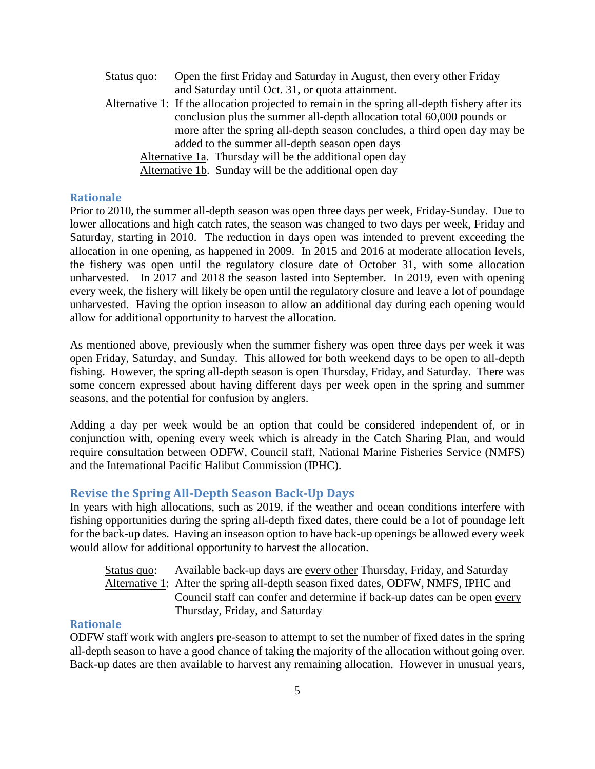- Status quo: Open the first Friday and Saturday in August, then every other Friday and Saturday until Oct. 31, or quota attainment.
- Alternative 1: If the allocation projected to remain in the spring all-depth fishery after its conclusion plus the summer all-depth allocation total 60,000 pounds or more after the spring all-depth season concludes, a third open day may be added to the summer all-depth season open days
	- Alternative 1a. Thursday will be the additional open day
	- Alternative 1b. Sunday will be the additional open day

### **Rationale**

Prior to 2010, the summer all-depth season was open three days per week, Friday-Sunday. Due to lower allocations and high catch rates, the season was changed to two days per week, Friday and Saturday, starting in 2010. The reduction in days open was intended to prevent exceeding the allocation in one opening, as happened in 2009. In 2015 and 2016 at moderate allocation levels, the fishery was open until the regulatory closure date of October 31, with some allocation unharvested. In 2017 and 2018 the season lasted into September. In 2019, even with opening every week, the fishery will likely be open until the regulatory closure and leave a lot of poundage unharvested. Having the option inseason to allow an additional day during each opening would allow for additional opportunity to harvest the allocation.

As mentioned above, previously when the summer fishery was open three days per week it was open Friday, Saturday, and Sunday. This allowed for both weekend days to be open to all-depth fishing. However, the spring all-depth season is open Thursday, Friday, and Saturday. There was some concern expressed about having different days per week open in the spring and summer seasons, and the potential for confusion by anglers.

Adding a day per week would be an option that could be considered independent of, or in conjunction with, opening every week which is already in the Catch Sharing Plan, and would require consultation between ODFW, Council staff, National Marine Fisheries Service (NMFS) and the International Pacific Halibut Commission (IPHC).

### **Revise the Spring All-Depth Season Back-Up Days**

In years with high allocations, such as 2019, if the weather and ocean conditions interfere with fishing opportunities during the spring all-depth fixed dates, there could be a lot of poundage left for the back-up dates. Having an inseason option to have back-up openings be allowed every week would allow for additional opportunity to harvest the allocation.

Status quo: Available back-up days are every other Thursday, Friday, and Saturday Alternative 1: After the spring all-depth season fixed dates, ODFW, NMFS, IPHC and Council staff can confer and determine if back-up dates can be open every Thursday, Friday, and Saturday

### **Rationale**

ODFW staff work with anglers pre-season to attempt to set the number of fixed dates in the spring all-depth season to have a good chance of taking the majority of the allocation without going over. Back-up dates are then available to harvest any remaining allocation. However in unusual years,